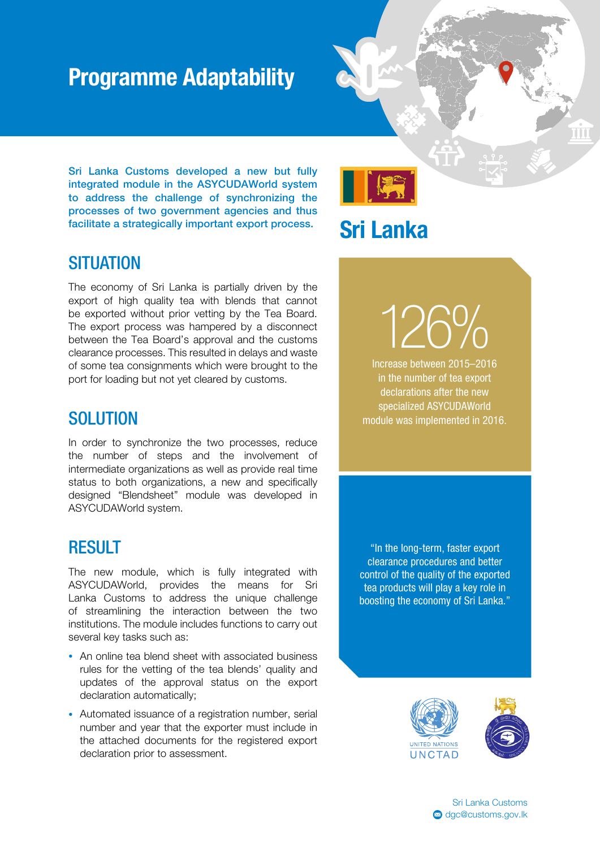## Programme Adaptability

Sri Lanka Customs developed a new but fully integrated module in the ASYCUDAWorld system to address the challenge of synchronizing the processes of two government agencies and thus facilitate a strategically important export process.

### **SITUATION**

The economy of Sri Lanka is partially driven by the export of high quality tea with blends that cannot be exported without prior vetting by the Tea Board. The export process was hampered by a disconnect between the Tea Board's approval and the customs clearance processes. This resulted in delays and waste of some tea consignments which were brought to the port for loading but not yet cleared by customs.

### **SOLUTION**

In order to synchronize the two processes, reduce the number of steps and the involvement of intermediate organizations as well as provide real time status to both organizations, a new and specifically designed "Blendsheet" module was developed in ASYCUDAWorld system.

### **RESULT**

The new module, which is fully integrated with ASYCUDAWorld, provides the means for Sri Lanka Customs to address the unique challenge of streamlining the interaction between the two institutions. The module includes functions to carry out several key tasks such as:

- An online tea blend sheet with associated business rules for the vetting of the tea blends' quality and updates of the approval status on the export declaration automatically;
- Automated issuance of a registration number, serial number and year that the exporter must include in the attached documents for the registered export declaration prior to assessment.

## Sri Lanka

Increase between 2015–2016 126%

in the number of tea export declarations after the new specialized ASYCUDAWorld module was implemented in 2016.

"In the long-term, faster export clearance procedures and better control of the quality of the exported tea products will play a key role in boosting the economy of Sri Lanka."